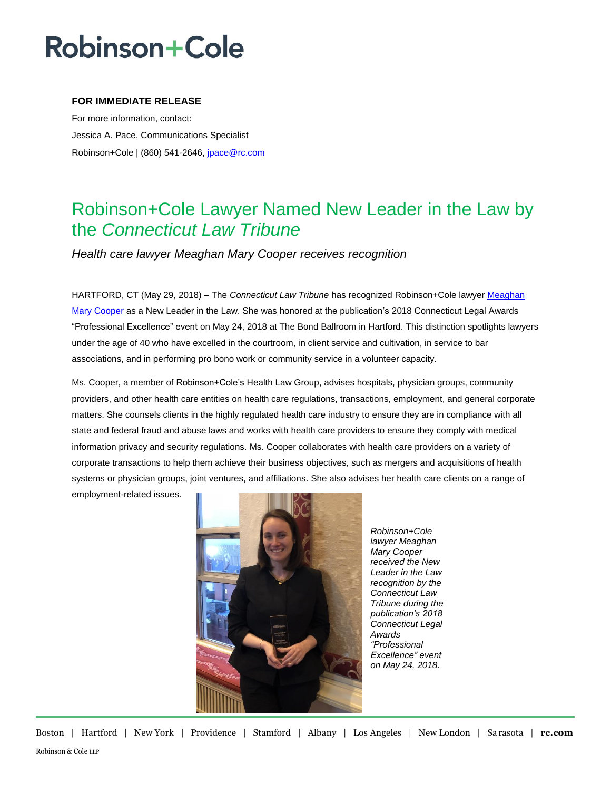## **Robinson+Cole**

### **FOR IMMEDIATE RELEASE**

For more information, contact: Jessica A. Pace, Communications Specialist Robinson+Cole | (860) 541-2646[, jpace@rc.com](mailto:jpace@rc.com)

### Robinson+Cole Lawyer Named New Leader in the Law by the *Connecticut Law Tribune*

*Health care lawyer Meaghan Mary Cooper receives recognition*

HARTFORD, CT (May 29, 2018) – The *Connecticut Law Tribune* has recognized Robinson+Cole lawyer [Meaghan](http://www.rc.com/people/MeaghanMaryCooper.cfm)  [Mary Cooper](http://www.rc.com/people/MeaghanMaryCooper.cfm) as a New Leader in the Law. She was honored at the publication's 2018 Connecticut Legal Awards "Professional Excellence" event on May 24, 2018 at The Bond Ballroom in Hartford. This distinction spotlights lawyers under the age of 40 who have excelled in the courtroom, in client service and cultivation, in service to bar associations, and in performing pro bono work or community service in a volunteer capacity.

Ms. Cooper, a member of Robinson+Cole's Health Law Group, advises hospitals, physician groups, community providers, and other health care entities on health care regulations, transactions, employment, and general corporate matters. She counsels clients in the highly regulated health care industry to ensure they are in compliance with all state and federal fraud and abuse laws and works with health care providers to ensure they comply with medical information privacy and security regulations. Ms. Cooper collaborates with health care providers on a variety of corporate transactions to help them achieve their business objectives, such as mergers and acquisitions of health systems or physician groups, joint ventures, and affiliations. She also advises her health care clients on a range of

employment-related issues.



*Robinson+Cole lawyer Meaghan Mary Cooper received the New Leader in the Law recognition by the Connecticut Law Tribune during the publication's 2018 Connecticut Legal Awards "Professional Excellence" event on May 24, 2018.*

Boston | Hartford | New York | Providence | Stamford | Albany | Los Angeles | New London | Sa rasota | **rc.com** Robinson & Cole LLP